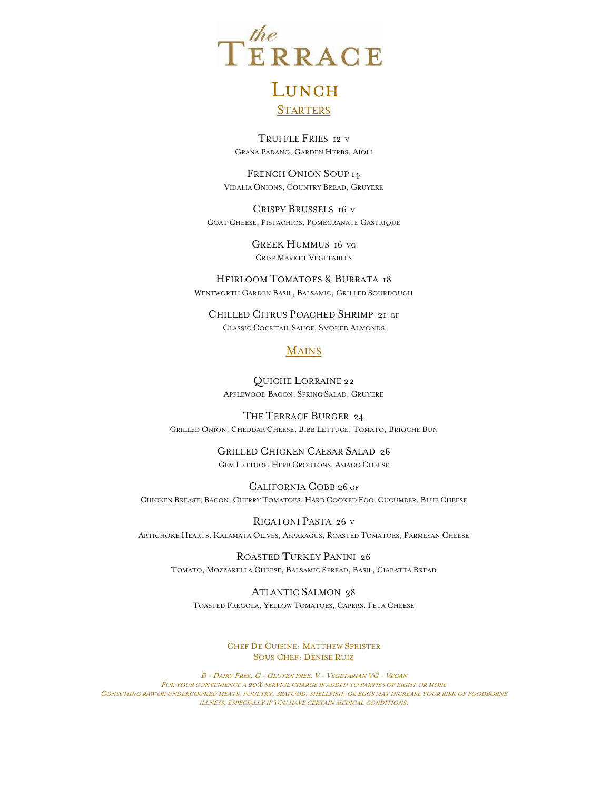

## LUNCH **STARTERS**

TRUFFLE FRIES 12 <sup>V</sup> GRANA PADANO, GARDEN HERBS, AIOLI

FRENCH ONION SOUP 14 VIDALIA ONIONS, COUNTRY BREAD, GRUYERE

CRISPY BRUSSELS 16 <sup>V</sup> GOAT CHEESE, PISTACHIOS, POMEGRANATE GASTRIQUE

> GREEK HUMMUS 16 VG CRISP MARKET VEGETABLES

HEIRLOOM TOMATOES & BURRATA 18 WENTWORTH GARDEN BASIL, BALSAMIC, GRILLED SOURDOUGH

CHILLED CITRUS POACHED SHRIMP 21 GF CLASSIC COCKTAIL SAUCE, SMOKED ALMONDS

## **MAINS**

QUICHE LORRAINE 22 APPLEWOOD BACON, SPRING SALAD, GRUYERE

THE TERRACE BURGER 24 GRILLED ONION, CHEDDAR CHEESE, BIBB LETTUCE, TOMATO, BRIOCHE BUN

> GRILLED CHICKEN CAESAR SALAD 26 GEM LETTUCE, HERB CROUTONS, ASIAGO CHEESE

CALIFORNIA COBB 26 GF CHICKEN BREAST, BACON, CHERRY TOMATOES, HARD COOKED EGG, CUCUMBER, BLUE CHEESE

RIGATONI PASTA 26 <sup>V</sup> ARTICHOKE HEARTS, KALAMATA OLIVES, ASPARAGUS, ROASTED TOMATOES, PARMESAN CHEESE

ROASTED TURKEY PANINI 26 TOMATO, MOZZARELLA CHEESE, BALSAMIC SPREAD, BASIL, CIABATTA BREAD

ATLANTIC SALMON 38 TOASTED FREGOLA, YELLOW TOMATOES, CAPERS, FETA CHEESE

## CHEF DE CUISINE: MATTHEW SPRISTER SOUS CHEF: DENISE RUIZ

D - DAIRY FREE, G - GLUTEN FREE. V - VEGETARIAN VG - VEGAN FOR YOUR CONVENIENCE A 20% SERVICE CHARGE IS ADDED TO PARTIES OF EIGHT OR MORE CONSUMING RAW OR UNDERCOOKED MEATS, POULTRY, SEAFOOD, SHELLFISH, OR EGGS MAY INCREASE YOUR RISK OF FOODBORNE ILLNESS, ESPECIALLY IF YOU HAVE CERTAIN MEDICAL CONDITIONS.